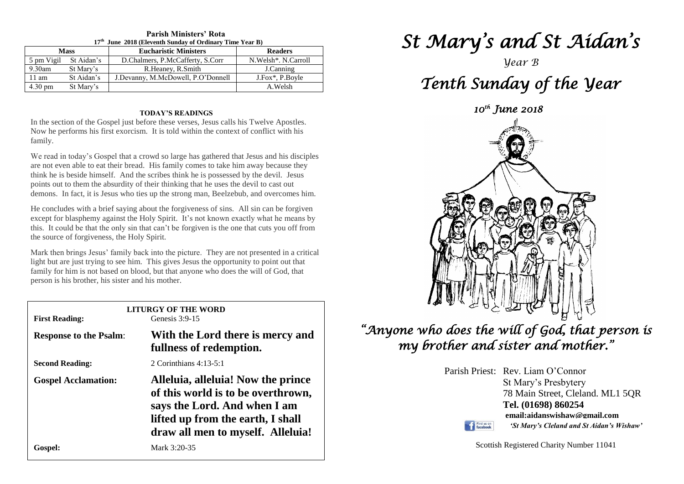| $17th$ June 2018 (Eleventh Sunday of Ordinary Time Year B) |            |                                    |                       |  |  |  |
|------------------------------------------------------------|------------|------------------------------------|-----------------------|--|--|--|
| <b>Mass</b>                                                |            | <b>Eucharistic Ministers</b>       | <b>Readers</b>        |  |  |  |
| 5 pm Vigil                                                 | St Aidan's | D.Chalmers, P.McCafferty, S.Corr   | N. Welsh*. N. Carroll |  |  |  |
| $9.30$ am                                                  | St Mary's  | R.Heaney, R.Smith                  | J.Canning             |  |  |  |
| 11 am                                                      | St Aidan's | J.Devanny, M.McDowell, P.O'Donnell | J.Fox*, P.Boyle       |  |  |  |
| $4.30 \text{ pm}$                                          | St Mary's  |                                    | A.Welsh               |  |  |  |

## **Parish Ministers' Rota**

### **TODAY'S READINGS**

In the section of the Gospel just before these verses, Jesus calls his Twelve Apostles. Now he performs his first exorcism. It is told within the context of conflict with his family.

We read in today's Gospel that a crowd so large has gathered that Jesus and his disciples are not even able to eat their bread. His family comes to take him away because they think he is beside himself. And the scribes think he is possessed by the devil. Jesus points out to them the absurdity of their thinking that he uses the devil to cast out demons. In fact, it is Jesus who ties up the strong man, Beelzebub, and overcomes him.

He concludes with a brief saying about the forgiveness of sins. All sin can be forgiven except for blasphemy against the Holy Spirit. It's not known exactly what he means by this. It could be that the only sin that can't be forgiven is the one that cuts you off from the source of forgiveness, the Holy Spirit.

Mark then brings Jesus' family back into the picture. They are not presented in a crit<br>light but are just trying to see him. This gives Jesus the opportunity to point out that person is his brother, his sister and his mother. Mark then brings Jesus' family back into the picture. They are not presented in a critical family for him is not based on blood, but that anyone who does the will of God, that

| <b>LITURGY OF THE WORD</b><br>Genesis $3:9-15$<br><b>First Reading:</b> |                                                                                                                                                                                    |  |  |  |
|-------------------------------------------------------------------------|------------------------------------------------------------------------------------------------------------------------------------------------------------------------------------|--|--|--|
| <b>Response to the Psalm:</b>                                           | With the Lord there is mercy and<br>fullness of redemption.                                                                                                                        |  |  |  |
| <b>Second Reading:</b>                                                  | 2 Corinthians $4:13-5:1$                                                                                                                                                           |  |  |  |
| <b>Gospel Acclamation:</b>                                              | Alleluia, alleluia! Now the prince<br>of this world is to be overthrown,<br>says the Lord. And when I am<br>lifted up from the earth, I shall<br>draw all men to myself. Alleluia! |  |  |  |
| Gospel:                                                                 | Mark 3:20-35                                                                                                                                                                       |  |  |  |

# *St Mary's and St Aidan's*

*Year B* 

## *Tenth Sunday of the Year*





*"Anyone who does the will of God, that person is my brother and sister and mother."* 

> Parish Priest: Rev. Liam O'Connor St Mary's Presbytery 78 Main Street, Cleland. ML1 5QR **Tel. (01698) 860254 email:aidanswishaw@gmail.com**

Find us on

*'St Mary's Cleland and St Aidan's Wishaw'*

Scottish Registered Charity Number 11041